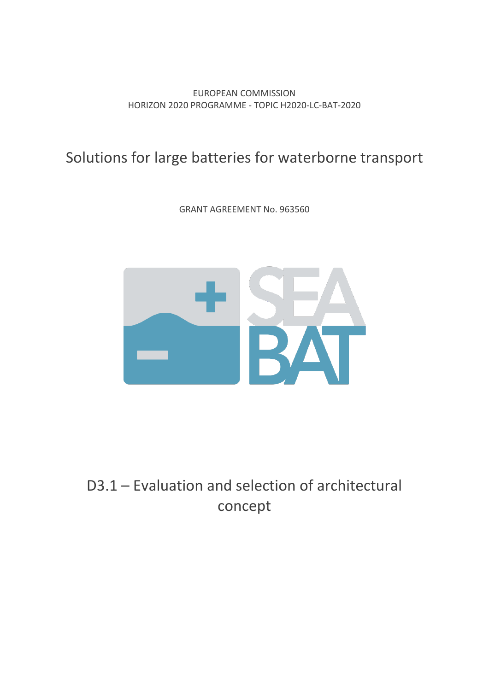EUROPEAN COMMISSION HORIZON 2020 PROGRAMME - TOPIC H2020-LC-BAT-2020

## Solutions for large batteries for waterborne transport

GRANT AGREEMENT No. 963560



# D3.1 – Evaluation and selection of architectural concept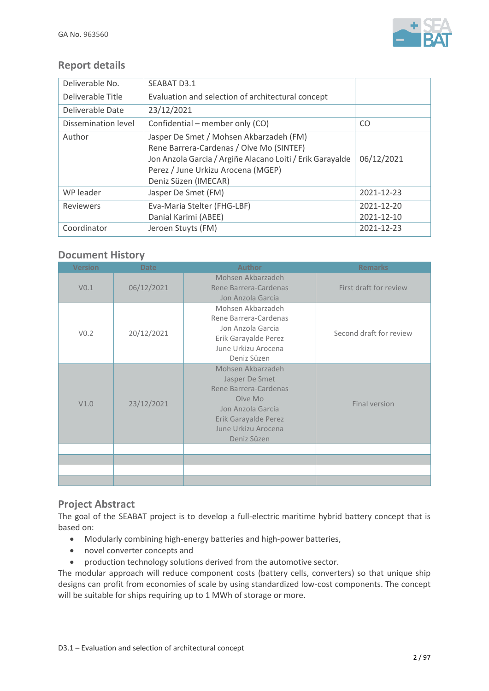

## **Report details**

| Deliverable No.     | SEABAT D3.1                                                                                                                                                                                                    |                  |
|---------------------|----------------------------------------------------------------------------------------------------------------------------------------------------------------------------------------------------------------|------------------|
| Deliverable Title   | Evaluation and selection of architectural concept                                                                                                                                                              |                  |
| Deliverable Date    | 23/12/2021                                                                                                                                                                                                     |                  |
| Dissemination level | Confidential – member only (CO)                                                                                                                                                                                | CO.              |
| Author              | Jasper De Smet / Mohsen Akbarzadeh (FM)<br>Rene Barrera-Cardenas / Olve Mo (SINTEF)<br>Jon Anzola Garcia / Argiñe Alacano Loiti / Erik Garayalde<br>Perez / June Urkizu Arocena (MGEP)<br>Deniz Süzen (IMECAR) | 06/12/2021       |
| WP leader           | Jasper De Smet (FM)                                                                                                                                                                                            | 2021-12-23       |
| Reviewers           | Eva-Maria Stelter (FHG-LBF)                                                                                                                                                                                    | $2021 - 12 - 20$ |
|                     | Danial Karimi (ABEE)                                                                                                                                                                                           | 2021-12-10       |
| Coordinator         | Jeroen Stuyts (FM)                                                                                                                                                                                             | 2021-12-23       |

## **Document History**

| <b>Version</b>   | <b>Date</b> | <b>Author</b>                                                                                                                                              | <b>Remarks</b>          |
|------------------|-------------|------------------------------------------------------------------------------------------------------------------------------------------------------------|-------------------------|
| V <sub>0.1</sub> | 06/12/2021  | Mohsen Akbarzadeh<br>Rene Barrera-Cardenas<br>Jon Anzola Garcia                                                                                            | First draft for review  |
| V <sub>0.2</sub> | 20/12/2021  | Mohsen Akbarzadeh<br>Rene Barrera-Cardenas<br>Jon Anzola Garcia<br>Erik Garayalde Perez<br>June Urkizu Arocena<br>Deniz Süzen                              | Second draft for review |
| V1.0             | 23/12/2021  | Mohsen Akbarzadeh<br>Jasper De Smet<br>Rene Barrera-Cardenas<br>Olve Mo<br>Jon Anzola Garcia<br>Erik Garayalde Perez<br>June Urkizu Arocena<br>Deniz Süzen | <b>Final version</b>    |
|                  |             |                                                                                                                                                            |                         |
|                  |             |                                                                                                                                                            |                         |
|                  |             |                                                                                                                                                            |                         |

### **Project Abstract**

The goal of the SEABAT project is to develop a full-electric maritime hybrid battery concept that is based on:

- Modularly combining high-energy batteries and high-power batteries,
- novel converter concepts and
- production technology solutions derived from the automotive sector.

The modular approach will reduce component costs (battery cells, converters) so that unique ship designs can profit from economies of scale by using standardized low-cost components. The concept will be suitable for ships requiring up to 1 MWh of storage or more.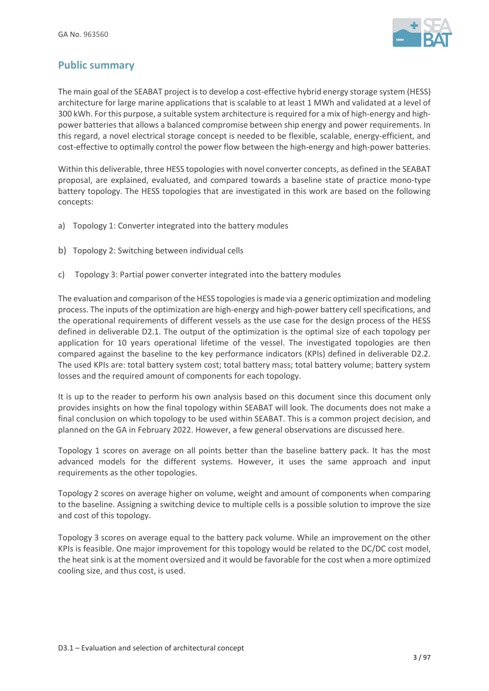

## **Public summary**

The main goal of the SEABAT project is to develop a cost-effective hybrid energy storage system (HESS) architecture for large marine applications that is scalable to at least 1 MWh and validated at a level of 300 kWh. For this purpose, a suitable system architecture is required for a mix of high-energy and highpower batteries that allows a balanced compromise between ship energy and power requirements. In this regard, a novel electrical storage concept is needed to be flexible, scalable, energy-efficient, and cost-effective to optimally control the power flow between the high-energy and high-power batteries.

Within this deliverable, three HESS topologies with novel converter concepts, as defined in the SEABAT proposal, are explained, evaluated, and compared towards a baseline state of practice mono-type battery topology. The HESS topologies that are investigated in this work are based on the following concepts:

- a) Topology 1: Converter integrated into the battery modules
- b) Topology 2: Switching between individual cells
- c) Topology 3: Partial power converter integrated into the battery modules

The evaluation and comparison of the HESS topologies is made via a generic optimization and modeling process. The inputs of the optimization are high-energy and high-power battery cell specifications, and the operational requirements of different vessels as the use case for the design process of the HESS defined in deliverable D2.1. The output of the optimization is the optimal size of each topology per application for 10 years operational lifetime of the vessel. The investigated topologies are then compared against the baseline to the key performance indicators (KPIs) defined in deliverable D2.2. The used KPIs are: total battery system cost; total battery mass; total battery volume; battery system losses and the required amount of components for each topology.

It is up to the reader to perform his own analysis based on this document since this document only provides insights on how the final topology within SEABAT will look. The documents does not make a final conclusion on which topology to be used within SEABAT. This is a common project decision, and planned on the GA in February 2022. However, a few general observations are discussed here.

Topology 1 scores on average on all points better than the baseline battery pack. It has the most advanced models for the different systems. However, it uses the same approach and input requirements as the other topologies.

Topology 2 scores on average higher on volume, weight and amount of components when comparing to the baseline. Assigning a switching device to multiple cells is a possible solution to improve the size and cost of this topology.

Topology 3 scores on average equal to the battery pack volume. While an improvement on the other KPIs is feasible. One major improvement for this topology would be related to the DC/DC cost model, the heat sink is at the moment oversized and it would be favorable for the cost when a more optimized cooling size, and thus cost, is used.